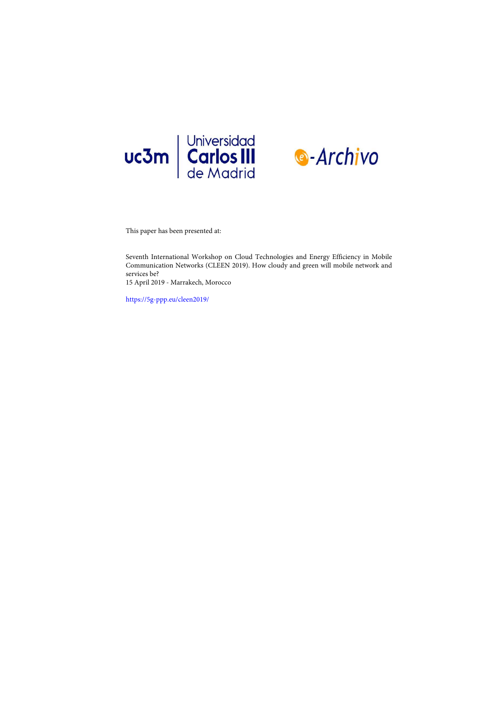



This paper has been presented at:

Seventh International Workshop on Cloud Technologies and Energy Efficiency in Mobile Communication Networks (CLEEN 2019). How cloudy and green will mobile network and services be?

15 April 2019 - Marrakech, Morocco

<https://5g-ppp.eu/cleen2019/>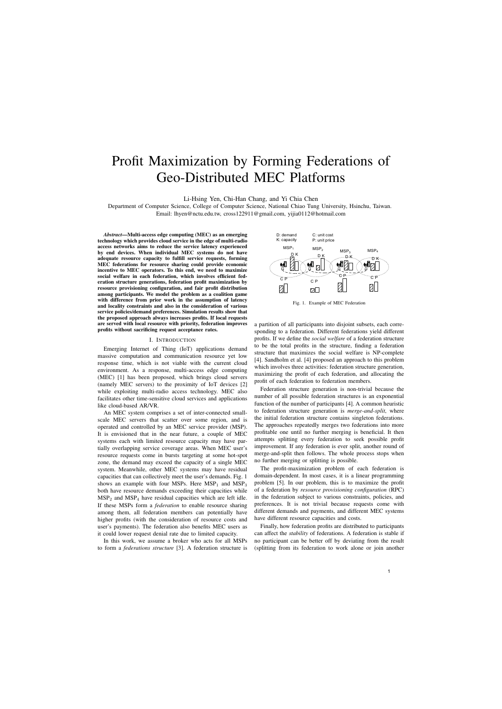# Profit Maximization by Forming Federations of Geo-Distributed MEC Platforms

Li-Hsing Yen, Chi-Han Chang, and Yi Chia Chen

Department of Computer Science, College of Computer Science, National Chiao Tung University, Hsinchu, Taiwan. Email: lhyen@nctu.edu.tw, cross122911@gmail.com, yijia0112@hotmail.com

*Abstract*—Multi-access edge computing (MEC) as an emerging technology which provides cloud service in the edge of multi-radio access networks aims to reduce the service latency experienced by end devices. When individual MEC systems do not have adequate resource capacity to fulfill service requests, forming MEC federations for resource sharing could provide economic incentive to MEC operators. To this end, we need to maximize social welfare in each federation, which involves efficient federation structure generations, federation profit maximization by resource provisioning configuration, and fair profit distribution among participants. We model the problem as a coalition game with difference from prior work in the assumption of latency and locality constraints and also in the consideration of various service policies/demand preferences. Simulation results show that the proposed approach always increases profits. If local requests are served with local resource with priority, federation improves profits without sacrificing request acceptance rates.

## I. INTRODUCTION

Emerging Internet of Thing (IoT) applications demand massive computation and communication resource yet low response time, which is not viable with the current cloud environment. As a response, multi-access edge computing (MEC) [1] has been proposed, which brings cloud servers (namely MEC servers) to the proximity of IoT devices [2] while exploiting multi-radio access technology. MEC also facilitates other time-sensitive cloud services and applications like cloud-based AR/VR.

An MEC system comprises a set of inter-connected smallscale MEC servers that scatter over some region, and is operated and controlled by an MEC service provider (MSP). It is envisioned that in the near future, a couple of MEC systems each with limited resource capacity may have partially overlapping service coverage areas. When MEC user's resource requests come in bursts targeting at some hot-spot zone, the demand may exceed the capacity of a single MEC system. Meanwhile, other MEC systems may have residual capacities that can collectively meet the user's demands. Fig. 1 shows an example with four MSPs. Here  $MSP<sub>1</sub>$  and  $MSP<sub>3</sub>$ both have resource demands exceeding their capacities while  $MSP<sub>2</sub>$  and  $MSP<sub>4</sub>$  have residual capacities which are left idle. If these MSPs form a *federation* to enable resource sharing among them, all federation members can potentially have higher profits (with the consideration of resource costs and user's payments). The federation also benefits MEC users as it could lower request denial rate due to limited capacity.

In this work, we assume a broker who acts for all MSPs to form a *federations structure* [3]. A federation structure is



Fig. 1. Example of MEC Federation

a partition of all participants into disjoint subsets, each corresponding to a federation. Different federations yield different profits. If we define the *social welfare* of a federation structure to be the total profits in the structure, finding a federation structure that maximizes the social welfare is NP-complete [4]. Sandholm et al. [4] proposed an approach to this problem which involves three activities: federation structure generation, maximizing the profit of each federation, and allocating the profit of each federation to federation members.

Federation structure generation is non-trivial because the number of all possible federation structures is an exponential function of the number of participants [4]. A common heuristic to federation structure generation is *merge-and-split*, where the initial federation structure contains singleton federations. The approaches repeatedly merges two federations into more profitable one until no further merging is beneficial. It then attempts splitting every federation to seek possible profit improvement. If any federation is ever split, another round of merge-and-split then follows. The whole process stops when no further merging or splitting is possible.

The profit-maximization problem of each federation is domain-dependent. In most cases, it is a linear programming problem [5]. In our problem, this is to maximize the profit of a federation by *resource provisioning configuration* (RPC) in the federation subject to various constraints, policies, and preferences. It is not trivial because requests come with different demands and payments, and different MEC systems have different resource capacities and costs.

Finally, how federation profits are distributed to participants can affect the *stability* of federations. A federation is stable if no participant can be better off by deviating from the result (splitting from its federation to work alone or join another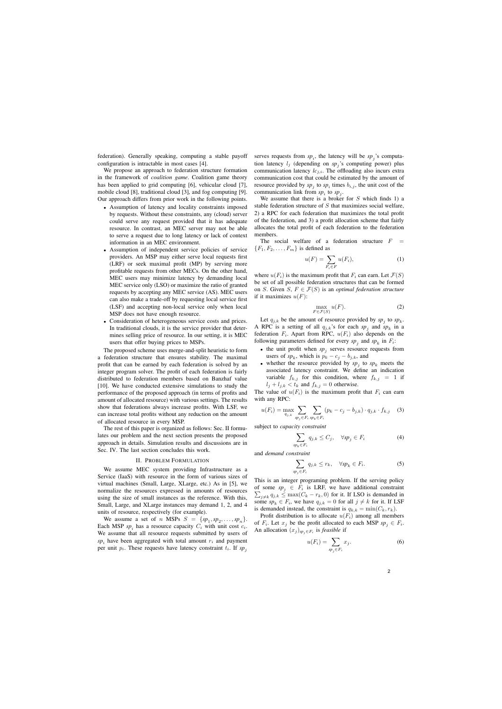federation). Generally speaking, computing a stable payoff configuration is intractable in most cases [4].

We propose an approach to federation structure formation in the framework of *coalition game*. Coalition game theory has been applied to grid computing [6], vehicular cloud [7], mobile cloud [8], traditional cloud [3], and fog computing [9]. Our approach differs from prior work in the following points.

- Assumption of latency and locality constraints imposed by requests. Without these constraints, any (cloud) server could serve any request provided that it has adequate resource. In contrast, an MEC server may not be able to serve a request due to long latency or lack of context information in an MEC environment.
- Assumption of independent service policies of service providers. An MSP may either serve local requests first (LRF) or seek maximal profit (MP) by serving more profitable requests from other MECs. On the other hand, MEC users may minimize latency by demanding local MEC service only (LSO) or maximize the ratio of granted requests by accepting any MEC service (AS). MEC users can also make a trade-off by requesting local service first (LSF) and accepting non-local service only when local MSP does not have enough resource.
- Consideration of heterogeneous service costs and prices. In traditional clouds, it is the service provider that determines selling price of resource. In our setting, it is MEC users that offer buying prices to MSPs.

The proposed scheme uses merge-and-split heuristic to form a federation structure that ensures stability. The maximal profit that can be earned by each federation is solved by an integer program solver. The profit of each federation is fairly distributed to federation members based on Banzhaf value [10]. We have conducted extensive simulations to study the performance of the proposed approach (in terms of profits and amount of allocated resource) with various settings. The results show that federations always increase profits. With LSF, we can increase total profits without any reduction on the amount of allocated resource in every MSP.

The rest of this paper is organized as follows: Sec. II formulates our problem and the next section presents the proposed approach in details. Simulation results and discussions are in Sec. IV. The last section concludes this work.

## II. PROBLEM FORMULATION

We assume MEC system providing Infrastructure as a Service (IaaS) with resource in the form of various sizes of virtual machines (Small, Large, XLarge, etc.) As in [5], we normalize the resources expressed in amounts of resources using the size of small instances as the reference. With this, Small, Large, and XLarge instances may demand 1, 2, and 4 units of resource, respectively (for example).

We assume a set of *n* MSPs  $S = \{sp_1, sp_2, \ldots, sp_n\}.$ Each MSP  $sp_i$  has a resource capacity  $C_i$  with unit cost  $c_i$ . We assume that all resource requests submitted by users of  $sp_i$  have been aggregated with total amount  $r_i$  and payment per unit  $p_i$ . These requests have latency constraint  $t_i$ . If  $sp_j$ 

serves requests from  $sp_i$ , the latency will be  $sp_j$ 's computation latency  $l_j$  (depending on  $sp_j$ 's computing power) plus communication latency  $lc_{j,i}$ . The offloading also incurs extra communication cost that could be estimated by the amount of resource provided by  $sp_j$  to  $sp_i$  times  $b_{i,j}$ , the unit cost of the communication link from  $sp_i$  to  $sp_j$ .

We assume that there is a broker for  $S$  which finds 1) a stable federation structure of  $S$  that maximizes social welfare, 2) a RPC for each federation that maximizes the total profit of the federation, and 3) a profit allocation scheme that fairly allocates the total profit of each federation to the federation members.

The social welfare of a federation structure  $F =$  ${F_1, F_2, \ldots, F_m}$  is defined as

$$
u(F) = \sum_{F_i \in F} u(F_i),\tag{1}
$$

where  $u(F_i)$  is the maximum profit that  $F_i$  can earn. Let  $\mathcal{F}(S)$ be set of all possible federation structures that can be formed on *S*. Given *S*,  $F \in \mathcal{F}(S)$  is an *optimal federation structure* if it maximizes  $u(F)$ :

$$
\max_{F \in \mathcal{F}(S)} u(F). \tag{2}
$$

Let  $q_{j,k}$  be the amount of resource provided by  $sp_j$  to  $sp_k$ . A RPC is a setting of all  $q_{j,k}$ 's for each  $sp_j$  and  $sp_k$  in a federation  $F_i$ . Apart from RPC,  $u(F_i)$  also depends on the following parameters defined for every  $sp_j$  and  $sp_k$  in  $F_i$ :

- the unit profit when  $sp_j$  serves resource requests from users of  $sp_k$ , which is  $p_k - c_j - b_{j,k}$ , and
- whether the resource provided by  $sp_j$  to  $sp_k$  meets the associated latency constraint. We define an indication variable  $f_{k,j}$  for this condition, where  $f_{k,j} = 1$  if  $l_j + l_{j,k} < t_k$  and  $f_{k,j} = 0$  otherwise.

The value of  $u(F_i)$  is the maximum profit that  $F_i$  can earn with any RPC:

$$
u(F_i) = \max_{q_{j,k}} \sum_{sp_j \in F_i} \sum_{sp_k \in F_i} (p_k - c_j - b_{j,k}) \cdot q_{j,k} \cdot f_{k,j} \quad (3)
$$

subject to *capacity constraint*

$$
\sum_{sp_k \in F_i} q_{j,k} \le C_j, \quad \forall sp_j \in F_i \tag{4}
$$

and *demand constraint*

$$
\sum_{sp_j \in F_i} q_{j,k} \le r_k, \quad \forall sp_k \in F_i.
$$
 (5)

This is an integer programing problem. If the serving policy of some  $sp_j \in F_i$  is LRF, we have additional constraint  $\sum_{j \neq k} q_{j,k} \leq \max(C_k - r_k, 0)$  for it. If LSO is demanded in some  $sp_k \in F_i$ , we have  $q_{j,k} = 0$  for all  $j \neq k$  for it. If LSF is demanded instead, the constraint is  $q_{k,k} = \min(C_k, r_k)$ .

Profit distribution is to allocate  $u(F_i)$  among all members of  $F_i$ . Let  $x_j$  be the profit allocated to each MSP  $sp_j \in F_i$ . An allocation  $(x_j)_{sp_j \in F_i}$  is *feasible* if

$$
u(F_i) = \sum_{sp_j \in F_i} x_j.
$$
 (6)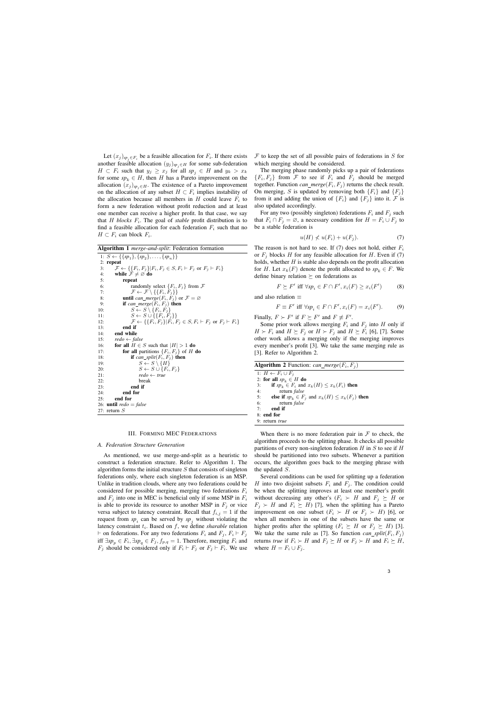Let  $(x_j)_{sp_j \in F_i}$  be a feasible allocation for  $F_i$ . If there exists another feasible allocation  $(y_j)_{sp_j\in H}$  for some sub-federation  $H \subset F_i$  such that  $y_j \geq x_j$  for all  $sp_j \in H$  and  $y_k > x_k$ for some  $sp_k \in H$ , then H has a Pareto improvement on the allocation  $(x_j)_{sp_j \in H}$ . The existence of a Pareto improvement on the allocation of any subset  $H \subset F_i$  implies instability of the allocation because all members in  $H$  could leave  $F_i$  to form a new federation without profit reduction and at least one member can receive a higher profit. In that case, we say that *H blocks*  $F_i$ . The goal of *stable* profit distribution is to find a feasible allocation for each federation  $F_i$  such that no  $H \subset F_i$  can block  $F_i$ .

Algorithm 1 *merge-and-split*: Federation formation

|     | 1: $S \leftarrow \{\{sp_1\}, \{sp_2\}, \ldots, \{sp_n\}\}\$                                             |
|-----|---------------------------------------------------------------------------------------------------------|
|     | $2:$ repeat                                                                                             |
| 3:  | $\mathcal{F} \leftarrow \{ \{F_i, F_j\}   F_i, F_j \in S, F_i \vdash F_j \text{ or } F_j \vdash F_i \}$ |
| 4:  | while $\mathcal{F} \neq \emptyset$ do                                                                   |
| 5:  | repeat                                                                                                  |
| 6:  | randomly select $\{F_i, F_j\}$ from $\mathcal F$                                                        |
| 7:  | $\mathcal{F} \leftarrow \mathcal{F} \setminus \{ \{ F_i, F_j \} \}$                                     |
| 8:  | <b>until</b> can_merge( $F_i$ , $F_j$ ) or $\mathcal{F} = \emptyset$                                    |
| 9:  | if can_merge( $F_i, F_j$ ) then                                                                         |
| 10: | $S \leftarrow S \setminus \{F_i, F_i\}$                                                                 |
| 11: | $S \leftarrow S \cup \{\{F_i, F_i\}\}\$                                                                 |
| 12: | $\mathcal{F} \leftarrow \{ \{F_i, F_j\}   F_i, F_j \in S, F_i \vdash F_j \text{ or } F_j \vdash F_i \}$ |
| 13: | end if                                                                                                  |
| 14: | end while                                                                                               |
| 15: | $redo \leftarrow false$                                                                                 |
| 16: | for all $H \in S$ such that $ H  > 1$ do                                                                |
| 17: | <b>for all</b> partitions $\{F_i, F_j\}$ of H <b>do</b>                                                 |
| 18: | if can_split( $F_i, F_j$ ) then                                                                         |
| 19: | $S \leftarrow S \setminus \{H\}$                                                                        |
| 20: | $S \leftarrow S \cup \{F_i, F_i\}$                                                                      |
| 21: | $redo \leftarrow true$                                                                                  |
| 22: | break                                                                                                   |
| 23: | end if                                                                                                  |
| 24: | end for                                                                                                 |
| 25: | end for                                                                                                 |
|     | 26: <b>until</b> $redo = false$                                                                         |
|     | 27: return $S$                                                                                          |

## III. FORMING MEC FEDERATIONS

## *A. Federation Structure Generation*

As mentioned, we use merge-and-split as a heuristic to construct a federation structure. Refer to Algorithm 1. The algorithm forms the initial structure  $S$  that consists of singleton federations only, where each singleton federation is an MSP. Unlike in tradition clouds, where any two federations could be considered for possible merging, merging two federations  $F_i$ and  $F_i$  into one in MEC is beneficial only if some MSP in  $F_i$ is able to provide its resource to another MSP in  $F_j$  or vice versa subject to latency constraint. Recall that  $f_{i,j} = 1$  if the request from  $sp_i$  can be served by  $sp_j$  without violating the latency constraint  $t_i$ . Based on  $f$ , we define *sharable* relation  $\vdash$  on federations. For any two federations  $F_i$  and  $F_j$ ,  $F_i \vdash F_j$ iff  $\exists sp_p \in F_i$ ,  $\exists sp_q \in F_j$ ,  $f_{p,q} = 1$ . Therefore, merging  $F_i$  and  $F_j$  should be considered only if  $F_i \vdash F_j$  or  $F_j \vdash F_i$ . We use

 $F$  to keep the set of all possible pairs of federations in  $S$  for which merging should be considered.

The merging phase randomly picks up a pair of federations  $\{F_i, F_j\}$  from F to see if  $F_i$  and  $F_j$  should be merged together. Function  $can\_merge(F_i, F_j)$  returns the check result. On merging, S is updated by removing both  ${F_i}$  and  ${F_i}$ from it and adding the union of  ${F_i}$  and  ${F_j}$  into it. F is also updated accordingly.

For any two (possibly singleton) federations  $F_i$  and  $F_j$  such that  $F_i \cap F_j = \emptyset$ , a necessary condition for  $H = F_i \cup F_j$  to be a stable federation is

$$
u(H) \nless u(F_i) + u(F_j). \tag{7}
$$

The reason is not hard to see. If (7) does not hold, either  $F_i$ or  $F_i$  blocks H for any feasible allocation for H. Even if (7) holds, whether  $H$  is stable also depends on the profit allocation for H. Let  $x_k(F)$  denote the profit allocated to  $sp_k \in F$ . We define binary relation  $\succeq$  on federations as

$$
F \succeq F' \text{ iff } \forall sp_i \in F \cap F', x_i(F) \ge x_i(F') \tag{8}
$$

and also relation ≡

$$
F \equiv F' \text{ iff } \forall sp_i \in F \cap F', x_i(F) = x_i(F'). \tag{9}
$$

Finally,  $F \succ F'$  if  $F \succeq F'$  and  $F \not\equiv F'$ .

Some prior work allows merging  $F_i$  and  $F_j$  into H only if  $H \succ F_i$  and  $H \succeq F_j$  or  $H \succ F_j$  and  $H \succeq F_i$  [6], [7]. Some other work allows a merging only if the merging improves every member's profit [3]. We take the same merging rule as [3]. Refer to Algorithm 2.

| <b>Algorithm 2</b> Function: can_merge( $F_i$ , $F_i$ )      |  |  |  |
|--------------------------------------------------------------|--|--|--|
| 1: $H \leftarrow F_i \cup F_i$                               |  |  |  |
| 2: for all $sp_k \in H$ do                                   |  |  |  |
| if $sp_k \in F_i$ and $x_k(H) \leq x_k(F_i)$ then<br>3:      |  |  |  |
| return <i>false</i><br>4:                                    |  |  |  |
| 5:<br>else if $sp_k \in F_j$ and $x_k(H) \leq x_k(F_j)$ then |  |  |  |
| 6:<br>return <i>false</i>                                    |  |  |  |
| 7:<br>end if                                                 |  |  |  |
| 8: end for                                                   |  |  |  |
| 9: return <i>true</i>                                        |  |  |  |

When there is no more federation pair in  $\mathcal F$  to check, the algorithm proceeds to the splitting phase. It checks all possible partitions of every non-singleton federation  $H$  in  $S$  to see if  $H$ should be partitioned into two subsets. Whenever a partition occurs, the algorithm goes back to the merging phrase with the updated S.

Several conditions can be used for splitting up a federation H into two disjoint subsets  $F_i$  and  $F_j$ . The condition could be when the splitting improves at least one member's profit without decreasing any other's  $(F_i \succ H$  and  $F_j \succeq H$  or  $F_j \succ H$  and  $F_i \succeq H$ ) [7], when the splitting has a Pareto improvement on one subset  $(F_i \succ H$  or  $F_j \succ H$ ) [6], or when all members in one of the subsets have the same or higher profits after the splitting  $(F_i \succeq H$  or  $F_j \succeq H)$  [3]. We take the same rule as [7]. So function  $can\_split(F_i, F_j)$ returns *true* if  $F_i \succ H$  and  $F_j \succeq H$  or  $F_j \succ H$  and  $F_i \succeq H$ , where  $H = F_i \cup F_j$ .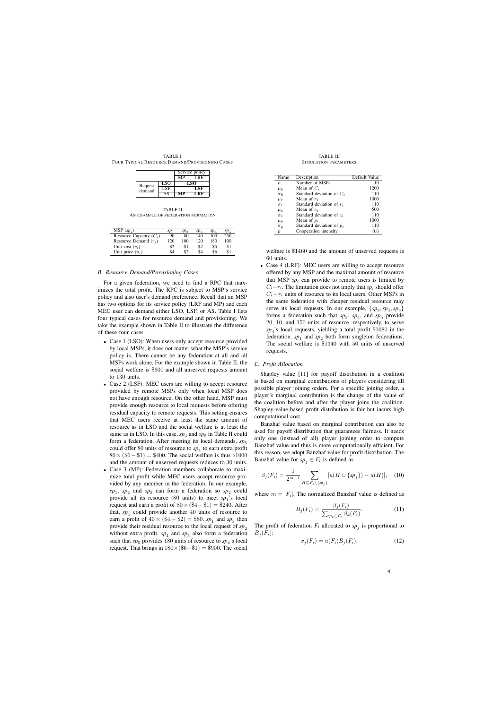TABLE I FOUR TYPICAL RESOURCE DEMAND/PROVISIONING CASES

|         |     | Service policy |      |  |
|---------|-----|----------------|------|--|
|         |     | MP             | LRF  |  |
| Request | LSO | LSO            |      |  |
| demand  | LSE |                | LSF. |  |
|         |     |                |      |  |

TABLE II AN EXAMPLE OF FEDERATION FORMATION

| MSP $(sp_i)$              | sp <sub>1</sub> | sp <sub>2</sub> | sp <sub>3</sub> | sp <sub>4</sub> | $sp_{5}$ |
|---------------------------|-----------------|-----------------|-----------------|-----------------|----------|
| Resource Capacity $(C_i)$ | 90              | 80              | 140             | 100             | 250      |
| Resource Demand $(r_i)$   | 120             | 100             | 120             | 180             | 100      |
| Unit cost $(c_i)$         | \$2             | \$1             | \$2             | \$5             | \$1      |
| Unit price $(p_i)$        | \$4             | \$2             | \$4             | \$6             | \$1      |

# *B. Resource Demand/Provisioning Cases*

For a given federation, we need to find a RPC that maximizes the total profit. The RPC is subject to MSP's service policy and also user's demand preference. Recall that an MSP has two options for its service policy (LRF and MP) and each MEC user can demand either LSO, LSF, or AS. Table I lists four typical cases for resource demand and provisioning. We take the example shown in Table II to illustrate the difference of these four cases.

- Case 1 (LSO): When users only accept resource provided by local MSPs, it does not matter what the MSP's service policy is. There cannot be any federation at all and all MSPs work alone. For the example shown in Table II, the social welfare is \$600 and all unserved requests amount to 130 units.
- Case 2 (LSF): MEC users are willing to accept resource provided by remote MSPs only when local MSP does not have enough resource. On the other hand, MSP must provide enough resource to local requests before offering residual capacity to remote requests. This setting ensures that MEC users receive at least the same amount of resource as in LSO and the social welfare is at least the same as in LSO. In this case,  $sp_4$  and  $sp_5$  in Table II could form a federation. After meeting its local demands,  $sp<sub>5</sub>$ could offer  $80$  units of resource to  $sp_4$  to earn extra profit  $80 \times (\$6 - \$1) = \$400$ . The social welfare is thus \$1000 and the amount of unserved requests reduces to 30 units.
- Case 3 (MP): Federation members collaborate to maximize total profit while MEC users accept resource provided by any member in the federation. In our example,  $sp_1$ ,  $sp_2$  and  $sp_3$  can form a federation so  $sp_2$  could provide all its resource  $(80 \text{ units})$  to meet  $sp_1$ 's local request and earn a profit of  $80 \times (\$4-\$1) = \$240$ . After that,  $sp_1$  could provide another 40 units of resource to earn a profit of  $40 \times (\$4 - \$2) = \$80$ .  $sp_1$  and  $sp_3$  then provide their residual resource to the local request of  $sp<sub>2</sub>$ without extra profit.  $sp_4$  and  $sp_5$  also form a federation such that  $sp_5$  provides 180 units of resource to  $sp_4$ 's local request. That brings in  $180 \times (\$6-\$1) = \$900$ . The social

TABLE III SIMULATION PARAMETERS

| Name             | Description                 | Default Value |
|------------------|-----------------------------|---------------|
| $\boldsymbol{n}$ | Number of MSPs              | 10            |
| $\mu_k$          | Mean of $C_i$               | 1200          |
| $\sigma_k$       | Standard deviation of $C_i$ | 110           |
| $\mu_r$          | Mean of $r_i$               | 1000          |
| $\sigma_r$       | Standard deviation of $r_i$ | 110           |
| $\mu_c$          | Mean of $c_i$               | 500           |
| $\sigma_c$       | Standard deviation of $c_i$ | 110           |
| $\mu_p$          | Mean of $p_i$               | 1000          |
| $\sigma_p$       | Standard deviation of $p_i$ | 110           |
| $\boldsymbol{p}$ | Cooperation intensity       | 0.6           |

welfare is \$1460 and the amount of unserved requests is 60 units.

• Case 4 (LRF): MEC users are willing to accept resource offered by any MSP and the maximal amount of resource that MSP  $sp_i$  can provide to remote users is limited by  $C_i - r_i$ . The limitation does not imply that *sp*<sub>i</sub> should offer  $C_i - r_i$  units of resource to its local users. Other MSPs in the same federation with cheaper residual resource may serve its local requests. In our example,  $\{sp_3, sp_4, sp_5\}$ forms a federation such that  $sp_3$ ,  $sp_4$ , and  $sp_5$  provide 20, 10, and 150 units of resource, respectively, to serve *sp*<sup>4</sup> 's local requests, yielding a total profit \$1080 in the federation.  $sp_1$  and  $sp_2$  both form singleton federations. The social welfare is \$1340 with 50 units of unserved requests.

#### *C. Profit Allocation*

Shapley value [11] for payoff distribution in a coalition is based on marginal contributions of players considering all possible player joining orders. For a specific joining order, a player's marginal contribution is the change of the value of the coalition before and after the player joins the coalition. Shapley-value-based profit distribution is fair but incurs high computational cost.

Banzhaf value based on marginal contribution can also be used for payoff distribution that guarantees fairness. It needs only one (instead of all) player joining order to compute Banzhaf value and thus is more computationally efficient. For this reason, we adopt Banzhaf value for profit distribution. The Banzhaf value for  $sp_j \in F_i$  is defined as

$$
\beta_j(F_i) = \frac{1}{2^{m-1}} \sum_{H \subseteq F_i \setminus \{sp_j\}} [u(H \cup \{sp_j\}) - u(H)], \quad (10)
$$

where  $m = |F_i|$ . The normalized Banzhaf value is defined as

$$
B_j(F_i) = \frac{\beta_j(F_i)}{\sum_{sp_k \in F_i} \beta_k(F_i)}.
$$
\n(11)

The profit of federation  $F_i$  allocated to  $sp_j$  is proportional to  $B_i(F_i)$ :

$$
x_j(F_i) = u(F_i)B_j(F_i). \tag{12}
$$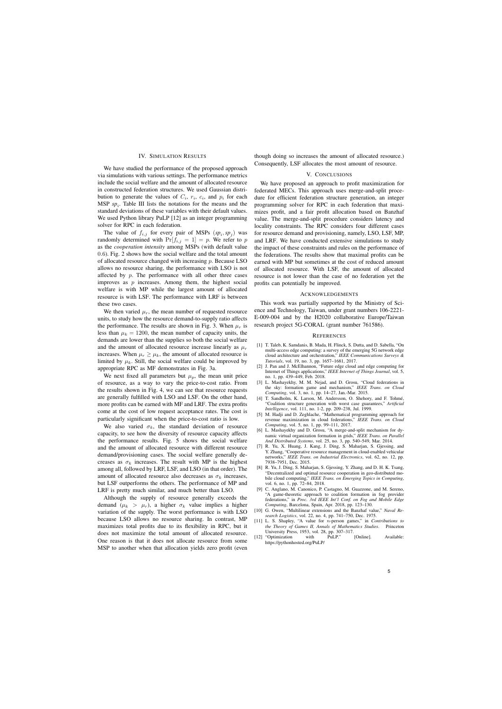## IV. SIMULATION RESULTS

We have studied the performance of the proposed approach via simulations with various settings. The performance metrics include the social welfare and the amount of allocated resource in constructed federation structures. We used Gaussian distribution to generate the values of  $C_i$ ,  $r_i$ ,  $c_i$ , and  $p_i$  for each MSP  $sp_i$ . Table III lists the notations for the means and the standard deviations of these variables with their default values. We used Python library PuLP [12] as an integer programming solver for RPC in each federation.

The value of  $f_{i,j}$  for every pair of MSPs  $(sp_i, sp_j)$  was randomly determined with  $Pr[f_{i,j} = 1] = p$ . We refer to p as the *cooperation intensity* among MSPs (with default value 0.6). Fig. 2 shows how the social welfare and the total amount of allocated resource changed with increasing  $p$ . Because LSO allows no resource sharing, the performance with LSO is not affected by  $p$ . The performance with all other three cases improves as  $p$  increases. Among them, the highest social welfare is with MP while the largest amount of allocated resource is with LSF. The performance with LRF is between these two cases.

We then varied  $\mu_r$ , the mean number of requested resource units, to study how the resource demand-to-supply ratio affects the performance. The results are shown in Fig. 3. When  $\mu_r$  is less than  $\mu_k = 1200$ , the mean number of capacity units, the demands are lower than the supplies so both the social welfare and the amount of allocated resource increase linearly as  $\mu_r$ increases. When  $\mu_r \geq \mu_k$ , the amount of allocated resource is limited by  $\mu_k$ . Still, the social welfare could be improved by appropriate RPC as MF demonstrates in Fig. 3a.

We next fixed all parameters but  $\mu_p$ , the mean unit price of resource, as a way to vary the price-to-cost ratio. From the results shown in Fig. 4, we can see that resource requests are generally fulfilled with LSO and LSF. On the other hand, more profits can be earned with MF and LRF. The extra profits come at the cost of low request acceptance rates. The cost is particularly significant when the price-to-cost ratio is low.

We also varied  $\sigma_k$ , the standard deviation of resource capacity, to see how the diversity of resource capacity affects the performance results. Fig. 5 shows the social welfare and the amount of allocated resource with different resource demand/provisioning cases. The social welfare generally decreases as  $\sigma_k$  increases. The result with MP is the highest among all, followed by LRF, LSF, and LSO (in that order). The amount of allocated resource also decreases as  $\sigma_k$  increases, but LSF outperforms the others. The performance of MP and LRF is pretty much similar, and much better than LSO.

Although the supply of resource generally exceeds the demand ( $\mu_k > \mu_r$ ), a higher  $\sigma_k$  value implies a higher variation of the supply. The worst performance is with LSO because LSO allows no resource sharing. In contrast, MP maximizes total profits due to its flexibility in RPC, but it does not maximize the total amount of allocated resource. One reason is that it does not allocate resource from some MSP to another when that allocation yields zero profit (even

though doing so increases the amount of allocated resource.) Consequently, LSF allocates the most amount of resource.

#### V. CONCLUSIONS

We have proposed an approach to profit maximization for federated MECs. This approach uses merge-and-split procedure for efficient federation structure generation, an integer programming solver for RPC in each federation that maximizes profit, and a fair profit allocation based on Banzhaf value. The merge-and-split procedure considers latency and locality constraints. The RPC considers four different cases for resource demand and provisioning, namely, LSO, LSF, MP, and LRF. We have conducted extensive simulations to study the impact of these constraints and rules on the performance of the federations. The results show that maximal profits can be earned with MP but sometimes at the cost of reduced amount of allocated resource. With LSF, the amount of allocated resource is not lower than the case of no federation yet the profits can potentially be improved.

#### ACKNOWLEDGEMENTS

This work was partially supported by the Ministry of Science and Technology, Taiwan, under grant numbers 106-2221- E-009-004 and by the H2020 collaborative Europe/Taiwan research project 5G-CORAL (grant number 761586).

## **REFERENCES**

- [1] T. Taleb, K. Samdanis, B. Mada, H. Flinck, S. Dutta, and D. Sabella, "On multi-access edge computing: a survey of the emerging 5G network edge cloud architecture and orchestration," *IEEE Communications Surveys & Tutorials*, vol. 19, no. 3, pp. 1657–1681, 2017.
- [2] J. Pan and J. McElhannon, "Future edge cloud and edge computing for Internet of Things applications," *IEEE Internet of Things Journal*, vol. 5, no. 1, pp. 439–449, Feb. 2018.
- [3] L. Mashayekhy, M. M. Nejad, and D. Grosu, "Cloud federations in the sky: formation game and mechanism," *IEEE Trans. on Cloud Computing*, vol. 3, no. 1, pp. 14–27, Jan.-Mar. 2015.
- [4] T. Sandholm, K. Larson, M. Andersson, O. Shehory, and F. Tohmé, "Coalition structure generation with worst case guarantees," *Artificial Intelligence*, vol. 111, no. 1-2, pp. 209–238, Jul. 1999.
- [5] M. Hadji and D. Zeghlache, "Mathematical programming approach for revenue maximization in cloud federations," *IEEE Trans. on Cloud Computing*, vol. 5, no. 1, pp. 99–111, 2017.
- [6] L. Mashayekhy and D. Grosu, "A merge-and-split mechanism for dynamic virtual organization formation in grids," *IEEE Trans. on Parallel And Distributed Systems*, vol. 25, no. 3, pp. 540–549, Mar. 2014.
- [7] R. Yu, X. Huang, J. Kang, J. Ding, S. Maharjan, S. Gjessing, and Y. Zhang, "Cooperative resource management in cloud-enabled vehicular networks," *IEEE Trans. on Industrial Electronics*, vol. 62, no. 12, pp. 7938–7951, Dec. 2015.
- [8] R. Yu, J. Ding, S. Maharjan, S. Gjessing, Y. Zhang, and D. H. K. Tsang, "Decentralized and optimal resource cooperation in geo-distributed mobile cloud computing," *IEEE Trans. on Emerging Topics in Computing*, vol. 6, no. 1, pp. 72–84, 2018.
- [9] C. Anglano, M. Canonico, P. Castagno, M. Guazzone, and M. Sereno, "A game-theoretic approach to coalition formation in fog provider federations," in *Proc. 3rd IEEE Int'l Conf. on Fog and Mobile Edge Computing*, Barcelona, Spain, Apr. 2018, pp. 123–130.
- [10] G. Owen, "Multilinear extensions and the Banzhaf value," *Naval Research Logistics*, vol. 22, no. 4, pp. 741–750, Dec. 1975.
- [11] L. S. Shapley, "A value for n-person games," in *Contributions to* the Theory of Games II, Annals of Mathematics Studies. University Press, 1953, vol. 28, pp. 307–317.
- [12] "Optimization with PuLP." [Online]. Available: https://pythonhosted.org/PuLP/